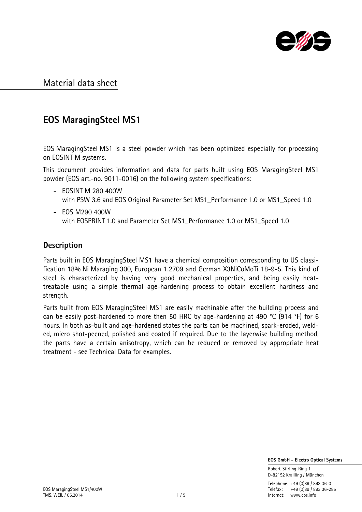

# **EOS MaragingSteel MS1**

EOS MaragingSteel MS1 is a steel powder which has been optimized especially for processing on EOSINT M systems.

This document provides information and data for parts built using EOS MaragingSteel MS1 powder (EOS art.-no. 9011-0016) on the following system specifications:

- EOSINT M 280 400W with PSW 3.6 and EOS Original Parameter Set MS1\_Performance 1.0 or MS1\_Speed 1.0
- EOS M290 400W with EOSPRINT 1.0 and Parameter Set MS1\_Performance 1.0 or MS1\_Speed 1.0

### **Description**

Parts built in EOS MaragingSteel MS1 have a chemical composition corresponding to US classification 18% Ni Maraging 300, European 1.2709 and German X3NiCoMoTi 18-9-5. This kind of steel is characterized by having very good mechanical properties, and being easily heattreatable using a simple thermal age-hardening process to obtain excellent hardness and strength.

Parts built from EOS MaragingSteel MS1 are easily machinable after the building process and can be easily post-hardened to more then 50 HRC by age-hardening at 490 °C (914 °F) for 6 hours. In both as-built and age-hardened states the parts can be machined, spark-eroded, welded, micro shot-peened, polished and coated if required. Due to the layerwise building method, the parts have a certain anisotropy, which can be reduced or removed by appropriate heat treatment - see Technical Data for examples.

 **EOS GmbH - Electro Optical Systems**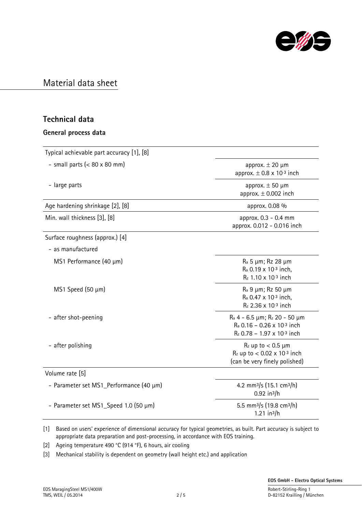

### **Technical data**

### **General process data**

| Typical achievable part accuracy [1], [8] |                                                                                                                |  |
|-------------------------------------------|----------------------------------------------------------------------------------------------------------------|--|
| - small parts $(< 80 \times 80$ mm)       | approx. $\pm$ 20 $\mu$ m<br>approx. $\pm$ 0.8 x 10-3 inch                                                      |  |
| - large parts                             | approx. $\pm$ 50 µm<br>approx. $\pm$ 0.002 inch                                                                |  |
| Age hardening shrinkage [2], [8]          | approx. 0.08 %                                                                                                 |  |
| Min. wall thickness [3], [8]              | approx. 0.3 - 0.4 mm<br>approx. 0.012 - 0.016 inch                                                             |  |
| Surface roughness (approx.) [4]           |                                                                                                                |  |
| - as manufactured                         |                                                                                                                |  |
| MS1 Performance (40 µm)                   | R <sub>a</sub> 5 µm; Rz 28 µm<br>R <sub>a</sub> 0.19 x 10-3 inch,<br>$R_z$ 1.10 x 10-3 inch                    |  |
| $MS1$ Speed (50 $\mu$ m)                  | R <sub>a</sub> 9 μm; Rz 50 μm<br>R <sub>a</sub> 0.47 x 10-3 inch,<br>$R_z$ 2.36 x 10-3 inch                    |  |
| - after shot-peening                      | $R_a$ 4 - 6.5 $\mu$ m; $R_z$ 20 - 50 $\mu$ m<br>$R_a$ 0.16 - 0.26 x 10-3 inch<br>$R_z$ 0.78 - 1.97 x 10-3 inch |  |
| - after polishing                         | $R_z$ up to $< 0.5$ µm<br>$R_z$ up to < 0.02 x 10-3 inch<br>(can be very finely polished)                      |  |
| Volume rate [5]                           |                                                                                                                |  |
| - Parameter set MS1_Performance (40 µm)   | 4.2 mm <sup>3</sup> /s (15.1 cm <sup>3</sup> /h)<br>$0.92$ in <sup>3</sup> /h                                  |  |
| - Parameter set MS1_Speed 1.0 (50 µm)     | 5.5 mm <sup>3</sup> /s (19.8 cm <sup>3</sup> /h)<br>1.21 in $3/h$                                              |  |

[1] Based on users' experience of dimensional accuracy for typical geometries, as built. Part accuracy is subject to appropriate data preparation and post-processing, in accordance with EOS training.

[2] Ageing temperature 490 °C (914 °F), 6 hours, air cooling

[3] Mechanical stability is dependent on geometry (wall height etc.) and application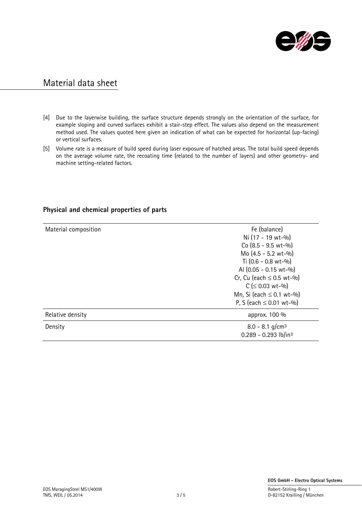

- [4] Due to the layerwise building, the surface structure depends strongly on the orientation of the surface, for example sloping and curved surfaces exhibit a stair-step effect. The values also depend on the measurement method used. The values quoted here given an indication of what can be expected for horizontal (up-facing) or vertical surfaces.
- [5] Volume rate is a measure of build speed during laser exposure of hatched areas. The total build speed depends on the average volume rate, the recoating time (related to the number of layers) and other geometry- and machine setting-related factors.

| Material composition | Fe (balance)<br>Ni (17 - 19 wt-%)<br>$Co (8.5 - 9.5 wt - %)$<br>Mo $(4.5 - 5.2 \text{ wt} - \frac{0}{0})$<br>Ti $(0.6 - 0.8 \text{ wt} - \frac{0}{0})$<br>AI (0.05 - 0.15 wt-%)<br>Cr, Cu (each $\leq$ 0.5 wt-%)<br>$C$ ( $\leq$ 0.03 wt-%)<br>Mn, Si (each $\leq$ 0.1 wt-%)<br>P, S (each $\leq$ 0.01 wt-%) |
|----------------------|--------------------------------------------------------------------------------------------------------------------------------------------------------------------------------------------------------------------------------------------------------------------------------------------------------------|
| Relative density     | approx. 100 %                                                                                                                                                                                                                                                                                                |
| Density              | $8.0 - 8.1$ g/cm <sup>3</sup><br>$0.289 - 0.293$ lb/in <sup>3</sup>                                                                                                                                                                                                                                          |

### **Physical and chemical properties of parts**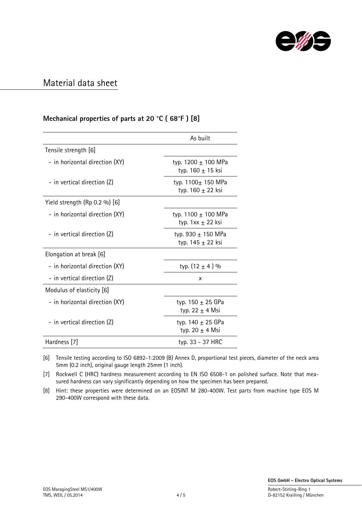

### **Mechanical properties of parts at 20 °C ( 68°F ) [8]**

|                                 | As built                                     |  |
|---------------------------------|----------------------------------------------|--|
| Tensile strength [6]            |                                              |  |
| - in horizontal direction (XY)  | typ. 1200 ± 100 MPa<br>typ. $160 \pm 15$ ksi |  |
| - in vertical direction (Z)     | typ. 1100+ 150 MPa<br>typ. 160 ± 22 ksi      |  |
| Yield strength $(Rp 0.2 %)$ [6] |                                              |  |
| - in horizontal direction (XY)  | typ. 1100 ± 100 MPa<br>typ. $1xx \pm 22$ ksi |  |
| - in vertical direction (Z)     | typ. 930 $\pm$ 150 MPa<br>typ. 145 ± 22 ksi  |  |
| Elongation at break [6]         |                                              |  |
| - in horizontal direction (XY)  | typ. $(12 \pm 4)$ %                          |  |
| - in vertical direction (Z)     | х                                            |  |
| Modulus of elasticity [6]       |                                              |  |
| - in horizontal direction (XY)  | typ. $150 \pm 25$ GPa<br>typ. 22 $\pm$ 4 Msi |  |
| - in vertical direction (Z)     | typ. $140 \pm 25$ GPa<br>typ. 20 $\pm$ 4 Msi |  |
| Hardness [7]                    | typ. 33 - 37 HRC                             |  |

[6] Tensile testing according to ISO 6892-1:2009 (B) Annex D, proportional test pieces, diameter of the neck area 5mm (0.2 inch), original gauge length 25mm (1 inch).

[7] Rockwell C (HRC) hardness measurement according to EN ISO 6508-1 on polished surface. Note that measured hardness can vary significantly depending on how the specimen has been prepared.

[8] Hint: these properties were determined on an EOSINT M 280-400W. Test parts from machine type EOS M 290-400W correspond with these data.